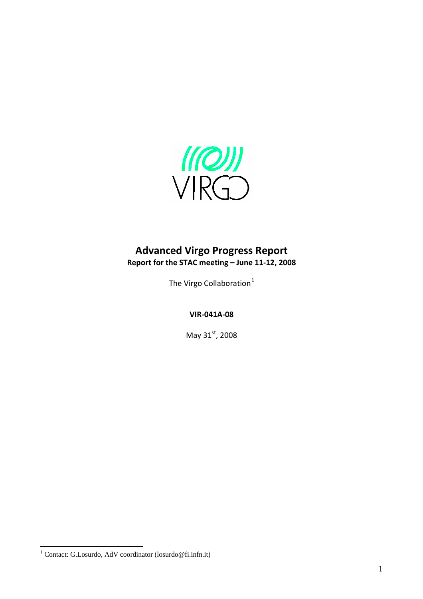

# **Advanced Virgo Progress Report Report for the STAC meeting – June 11‐12, 2008**

The Virgo Collaboration<sup>[1](#page-0-0)</sup>

**VIR‐041A‐08**

May 31st, 2008

<span id="page-0-0"></span> 1 Contact: G.Losurdo, AdV coordinator (losurdo@fi.infn.it)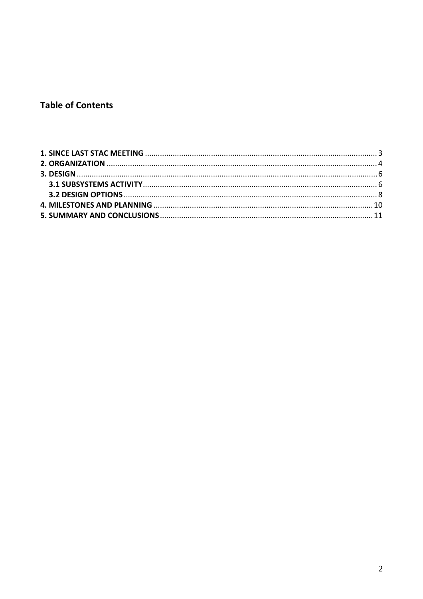# **Table of Contents**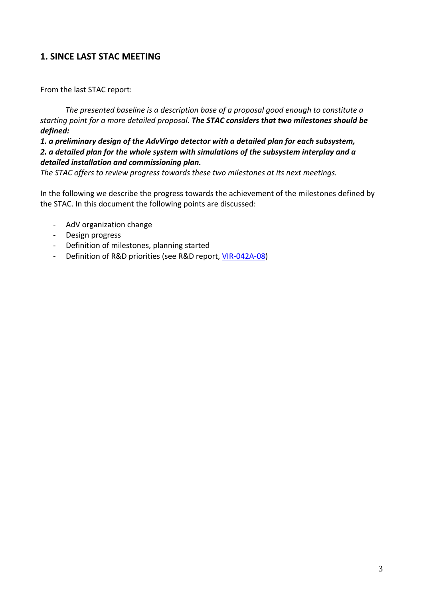# <span id="page-2-0"></span>**1. SINCE LAST STAC MEETING**

From the last STAC report:

*The presented baseline is a description base of a proposal good enough to constitute a starting point for a more detailed proposal. The STAC considers that two milestones should be defined:*

*1. a preliminary design of the AdvVirgo detector with a detailed plan for each subsystem, 2. a detailed plan for the whole system with simulations of the subsystem interplay and a detailed installation and commissioning plan.*

*The STAC offers to review progress towards these two milestones at its next meetings.*

In the following we describe the progress towards the achievement of the milestones defined by the STAC. In this document the following points are discussed:

- ‐ AdV organization change
- ‐ Design progress
- ‐ Definition of milestones, planning started
- ‐ Definition of R&D priorities (see R&D report, VIR‐[042A](http://wwwcascina.virgo.infn.it/advirgo/docs/STAC_R&D.pdf)‐08)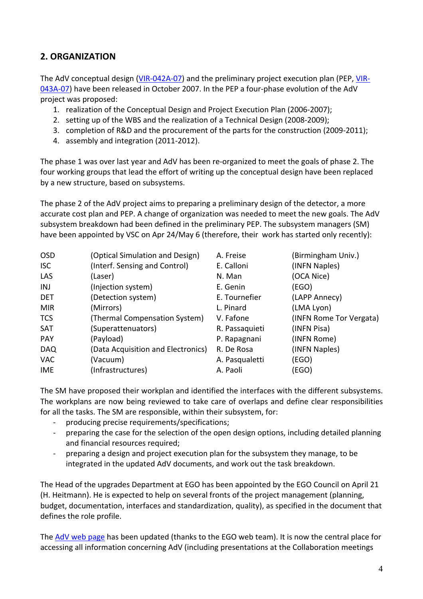# <span id="page-3-0"></span>**2. ORGANIZATION**

The AdV conceptual design (VIR-[042A](http://wwwcascina.virgo.infn.it/advirgo/docs/AdV_Design.pdf)-07) and the preliminary project execution plan (PEP, [VIR](http://wwwcascina.virgo.infn.it/advirgo/docs/AdV_PEP.pdf)-[043A](http://wwwcascina.virgo.infn.it/advirgo/docs/AdV_PEP.pdf)-07) have been released in October 2007. In the PEP a four-phase evolution of the AdV project was proposed:

- 1. realization of the Conceptual Design and Project Execution Plan (2006‐2007);
- 2. setting up of the WBS and the realization of a Technical Design (2008‐2009);
- 3. completion of R&D and the procurement of the parts for the construction (2009‐2011);
- 4. assembly and integration (2011‐2012).

The phase 1 was over last year and AdV has been re-organized to meet the goals of phase 2. The four working groups that lead the effort of writing up the conceptual design have been replaced by a new structure, based on subsystems.

The phase 2 of the AdV project aims to preparing a preliminary design of the detector, a more accurate cost plan and PEP. A change of organization was needed to meet the new goals. The AdV subsystem breakdown had been defined in the preliminary PEP. The subsystem managers (SM) have been appointed by VSC on Apr 24/May 6 (therefore, their work has started only recently):

| <b>OSD</b> | (Optical Simulation and Design)    | A. Freise      | (Birmingham Univ.)      |
|------------|------------------------------------|----------------|-------------------------|
| <b>ISC</b> | (Interf. Sensing and Control)      | E. Calloni     | (INFN Naples)           |
| LAS        | (Laser)                            | N. Man         | (OCA Nice)              |
| INJ        | (Injection system)                 | E. Genin       | (EGO)                   |
| <b>DET</b> | (Detection system)                 | E. Tournefier  | (LAPP Annecy)           |
| <b>MIR</b> | (Mirrors)                          | L. Pinard      | (LMA Lyon)              |
| <b>TCS</b> | (Thermal Compensation System)      | V. Fafone      | (INFN Rome Tor Vergata) |
| <b>SAT</b> | (Superattenuators)                 | R. Passaquieti | (INFN Pisa)             |
| <b>PAY</b> | (Payload)                          | P. Rapagnani   | (INFN Rome)             |
| <b>DAQ</b> | (Data Acquisition and Electronics) | R. De Rosa     | (INFN Naples)           |
| <b>VAC</b> | (Vacuum)                           | A. Pasqualetti | (EGO)                   |
| IME        | (Infrastructures)                  | A. Paoli       | (EGO)                   |

The SM have proposed their workplan and identified the interfaces with the different subsystems. The workplans are now being reviewed to take care of overlaps and define clear responsibilities for all the tasks. The SM are responsible, within their subsystem, for:

- ‐ producing precise requirements/specifications;
- ‐ preparing the case for the selection of the open design options, including detailed planning and financial resources required;
- ‐ preparing a design and project execution plan for the subsystem they manage, to be integrated in the updated AdV documents, and work out the task breakdown.

The Head of the upgrades Department at EGO has been appointed by the EGO Council on April 21 (H. Heitmann). He is expected to help on several fronts of the project management (planning, budget, documentation, interfaces and standardization, quality), as specified in the document that defines the role profile.

The AdV web [page](http://wwwcascina.virgo.infn.it/advirgo/index.html) has been updated (thanks to the EGO web team). It is now the central place for accessing all information concerning AdV (including presentations at the Collaboration meetings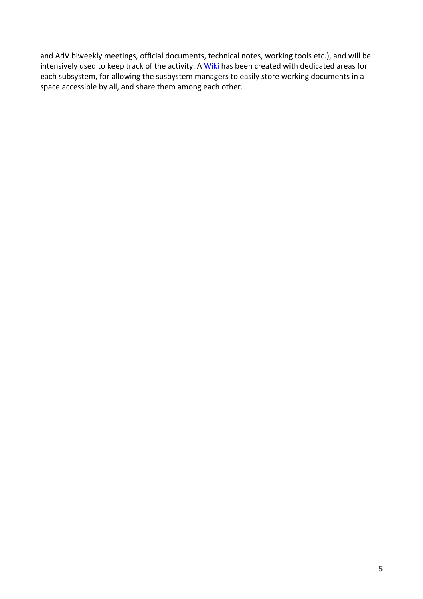and AdV biweekly meetings, official documents, technical notes, working tools etc.), and will be intensively used to keep track of the activity. A [Wiki](https://workarea.ego-gw.it/ego2/virgo/advanced-virgo/) has been created with dedicated areas for each subsystem, for allowing the susbystem managers to easily store working documents in a space accessible by all, and share them among each other.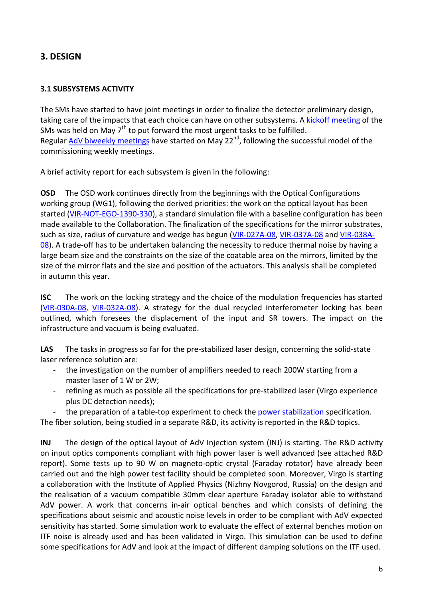## <span id="page-5-0"></span>**3. DESIGN**

#### **3.1 SUBSYSTEMS ACTIVITY**

The SMs have started to have joint meetings in order to finalize the detector preliminary design, taking care of the impacts that each choice can have on other subsystems. A kickoff [meeting](http://wwwcascina.virgo.infn.it/advirgo/kickoff.html) of the SMs was held on May  $7<sup>th</sup>$  to put forward the most urgent tasks to be fulfilled. Regular AdV biweekly [meetings](http://wwwcascina.virgo.infn.it/advirgo/biweekly.html) have started on May 22<sup>nd</sup>, following the successful model of the commissioning weekly meetings.

A brief activity report for each subsystem is given in the following:

**OSD** The OSD work continues directly from the beginnings with the Optical Configurations working group (WG1), following the derived priorities: the work on the optical layout has been started (VIR-NOT-EGO-[1390](http://wwwcascina.virgo.infn.it/advirgo/docs/freise-mantovani.pdf)-330), a standard simulation file with a baseline configuration has been made available to the Collaboration. The finalization of the specifications for the mirror substrates, such as size, radius of curvature and wedge has begun (VIR‐[027A](http://wwwcascina.virgo.infn.it/advirgo/docs/etalon.pdf)‐08, VIR‐[037A](http://wwwcascina.virgo.infn.it/advirgo/docs/VIR-037A-08.pdf)‐08 and VIR‐[038A](http://wwwcascina.virgo.infn.it/advirgo/docs/VIR-038A-08.pdf)‐ [08\)](http://wwwcascina.virgo.infn.it/advirgo/docs/VIR-038A-08.pdf). A trade-off has to be undertaken balancing the necessity to reduce thermal noise by having a large beam size and the constraints on the size of the coatable area on the mirrors, limited by the size of the mirror flats and the size and position of the actuators. This analysis shall be completed in autumn this year.

**ISC** The work on the locking strategy and the choice of the modulation frequencies has started (VIR‐[030A](http://wwwcascina.virgo.infn.it/advirgo/docs/vajente1.pdf)‐08, VIR‐[032A](http://wwwcascina.virgo.infn.it/advirgo/docs/vajente2.pdf)‐08). A strategy for the dual recycled interferometer locking has been outlined, which foresees the displacement of the input and SR towers. The impact on the infrastructure and vacuum is being evaluated.

LAS The tasks in progress so far for the pre-stabilized laser design, concerning the solid-state laser reference solution are:

- ‐ the investigation on the number of amplifiers needed to reach 200W starting from a master laser of 1 W or 2W;
- ‐ refining as much as possible all the specifications for pre‐stabilized laser (Virgo experience plus DC detection needs);

the preparation of a table-top experiment to check the power [stabilization](http://wwwcascina.virgo.infn.it/collmeetings/presentations/2008/2008-04/Detector/Cleva_23April2008_Pstab.ppt) specification.

The fiber solution, being studied in a separate R&D, its activity is reported in the R&D topics.

**INJ** The design of the optical layout of AdV Injection system (INJ) is starting. The R&D activity on input optics components compliant with high power laser is well advanced (see attached R&D report). Some tests up to 90 W on magneto-optic crystal (Faraday rotator) have already been carried out and the high power test facility should be completed soon. Moreover, Virgo is starting a collaboration with the Institute of Applied Physics (Nizhny Novgorod, Russia) on the design and the realisation of a vacuum compatible 30mm clear aperture Faraday isolator able to withstand AdV power. A work that concerns in-air optical benches and which consists of defining the specifications about seismic and acoustic noise levels in order to be compliant with AdV expected sensitivity has started. Some simulation work to evaluate the effect of external benches motion on ITF noise is already used and has been validated in Virgo. This simulation can be used to define some specifications for AdV and look at the impact of different damping solutions on the ITF used.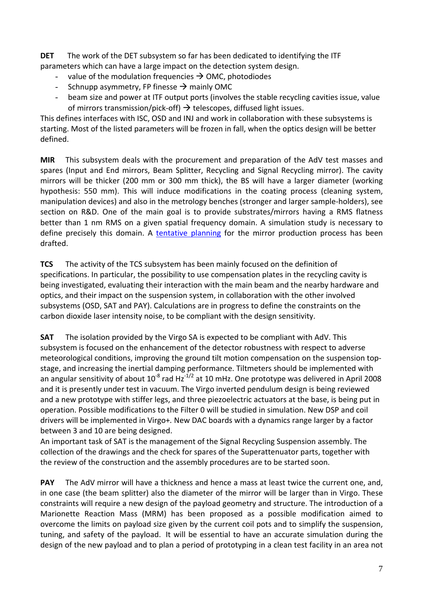**DET** The work of the DET subsystem so far has been dedicated to identifying the ITF parameters which can have a large impact on the detection system design.

- value of the modulation frequencies  $\rightarrow$  OMC, photodiodes
- Schnupp asymmetry, FP finesse  $\rightarrow$  mainly OMC
- beam size and power at ITF output ports (involves the stable recycling cavities issue, value of mirrors transmission/pick-off)  $\rightarrow$  telescopes, diffused light issues.

This defines interfaces with ISC, OSD and INJ and work in collaboration with these subsystems is starting. Most of the listed parameters will be frozen in fall, when the optics design will be better defined.

**MIR** This subsystem deals with the procurement and preparation of the AdV test masses and spares (Input and End mirrors, Beam Splitter, Recycling and Signal Recycling mirror). The cavity mirrors will be thicker (200 mm or 300 mm thick), the BS will have a larger diameter (working hypothesis: 550 mm). This will induce modifications in the coating process (cleaning system, manipulation devices) and also in the metrology benches (stronger and larger sample‐holders), see section on R&D. One of the main goal is to provide substrates/mirrors having a RMS flatness better than 1 nm RMS on a given spatial frequency domain. A simulation study is necessary to define precisely this domain. A [tentative](http://wwwcascina.virgo.infn.it/advirgo/biweekly/2008/2008-05/pinard_220508.ppt) planning for the mirror production process has been drafted.

**TCS** The activity of the TCS subsystem has been mainly focused on the definition of specifications. In particular, the possibility to use compensation plates in the recycling cavity is being investigated, evaluating their interaction with the main beam and the nearby hardware and optics, and their impact on the suspension system, in collaboration with the other involved subsystems (OSD, SAT and PAY). Calculations are in progress to define the constraints on the carbon dioxide laser intensity noise, to be compliant with the design sensitivity.

**SAT** The isolation provided by the Virgo SA is expected to be compliant with AdV. This subsystem is focused on the enhancement of the detector robustness with respect to adverse meteorological conditions, improving the ground tilt motion compensation on the suspension top‐ stage, and increasing the inertial damping performance. Tiltmeters should be implemented with an angular sensitivity of about  $10^{-8}$  rad Hz<sup>-1/2</sup> at 10 mHz. One prototype was delivered in April 2008 and it is presently under test in vacuum. The Virgo inverted pendulum design is being reviewed and a new prototype with stiffer legs, and three piezoelectric actuators at the base, is being put in operation. Possible modifications to the Filter 0 will be studied in simulation. New DSP and coil drivers will be implemented in Virgo+*.* New DAC boards with a dynamics range larger by a factor between 3 and 10 are being designed.

An important task of SAT is the management of the Signal Recycling Suspension assembly. The collection of the drawings and the check for spares of the Superattenuator parts, together with the review of the construction and the assembly procedures are to be started soon.

**PAY** The AdV mirror will have a thickness and hence a mass at least twice the current one, and, in one case (the beam splitter) also the diameter of the mirror will be larger than in Virgo. These constraints will require a new design of the payload geometry and structure. The introduction of a Marionette Reaction Mass (MRM) has been proposed as a possible modification aimed to overcome the limits on payload size given by the current coil pots and to simplify the suspension, tuning, and safety of the payload. It will be essential to have an accurate simulation during the design of the new payload and to plan a period of prototyping in a clean test facility in an area not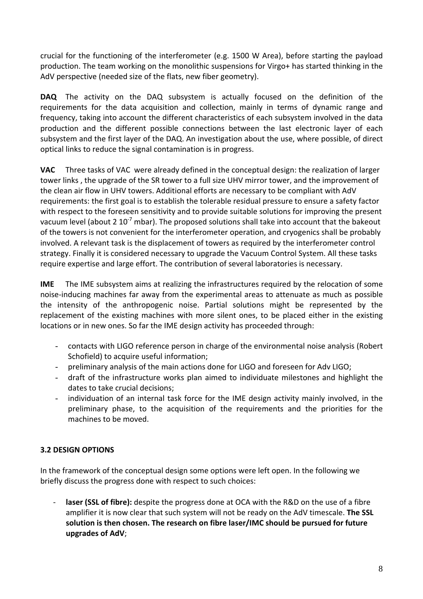<span id="page-7-0"></span>crucial for the functioning of the interferometer (e.g. 1500 W Area), before starting the payload production. The team working on the monolithic suspensions for Virgo+ has started thinking in the AdV perspective (needed size of the flats, new fiber geometry).

**DAQ** The activity on the DAQ subsystem is actually focused on the definition of the requirements for the data acquisition and collection, mainly in terms of dynamic range and frequency, taking into account the different characteristics of each subsystem involved in the data production and the different possible connections between the last electronic layer of each subsystem and the first layer of the DAQ. An investigation about the use, where possible, of direct optical links to reduce the signal contamination is in progress.

**VAC** Three tasks of VAC were already defined in the conceptual design: the realization of larger tower links , the upgrade of the SR tower to a full size UHV mirror tower, and the improvement of the clean air flow in UHV towers. Additional efforts are necessary to be compliant with AdV requirements: the first goal is to establish the tolerable residual pressure to ensure a safety factor with respect to the foreseen sensitivity and to provide suitable solutions for improving the present vacuum level (about 2  $10^{-7}$  mbar). The proposed solutions shall take into account that the bakeout of the towers is not convenient for the interferometer operation, and cryogenics shall be probably involved. A relevant task is the displacement of towers as required by the interferometer control strategy. Finally it is considered necessary to upgrade the Vacuum Control System. All these tasks require expertise and large effort. The contribution of several laboratories is necessary.

**IME** The IME subsystem aims at realizing the infrastructures required by the relocation of some noise‐inducing machines far away from the experimental areas to attenuate as much as possible the intensity of the anthropogenic noise. Partial solutions might be represented by the replacement of the existing machines with more silent ones, to be placed either in the existing locations or in new ones. So far the IME design activity has proceeded through:

- contacts with LIGO reference person in charge of the environmental noise analysis (Robert Schofield) to acquire useful information;
- preliminary analysis of the main actions done for LIGO and foreseen for Adv LIGO;
- draft of the infrastructure works plan aimed to individuate milestones and highlight the dates to take crucial decisions;
- individuation of an internal task force for the IME design activity mainly involved, in the preliminary phase, to the acquisition of the requirements and the priorities for the machines to be moved.

### **3.2 DESIGN OPTIONS**

In the framework of the conceptual design some options were left open. In the following we briefly discuss the progress done with respect to such choices:

‐ **laser (SSL of fibre):** despite the progress done at OCA with the R&D on the use of a fibre amplifier it is now clear that such system will not be ready on the AdV timescale. **The SSL solution is then chosen. The research on fibre laser/IMC should be pursued for future upgrades of AdV**;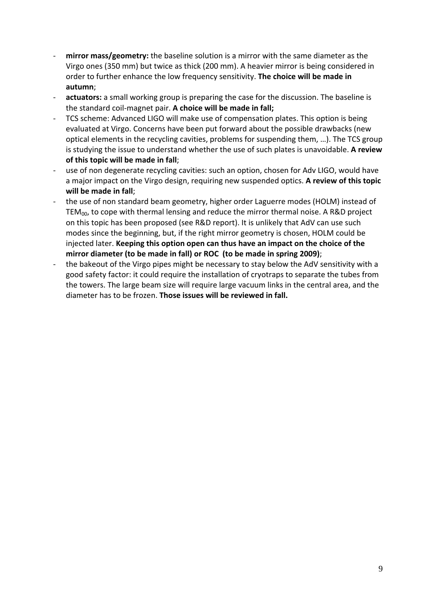- ‐ **mirror mass/geometry:** the baseline solution is a mirror with the same diameter as the Virgo ones (350 mm) but twice as thick (200 mm). A heavier mirror is being considered in order to further enhance the low frequency sensitivity. **The choice will be made in autumn**;
- ‐ **actuators:** a small working group is preparing the case for the discussion. The baseline is the standard coil‐magnet pair. **A choice will be made in fall;**
- TCS scheme: Advanced LIGO will make use of compensation plates. This option is being evaluated at Virgo. Concerns have been put forward about the possible drawbacks (new optical elements in the recycling cavities, problems for suspending them, …). The TCS group is studying the issue to understand whether the use of such plates is unavoidable. **A review of this topic will be made in fall**;
- use of non degenerate recycling cavities: such an option, chosen for Adv LIGO, would have a major impact on the Virgo design, requiring new suspended optics. **A review of this topic will be made in fall**;
- the use of non standard beam geometry, higher order Laguerre modes (HOLM) instead of  $TEM_{00}$ , to cope with thermal lensing and reduce the mirror thermal noise. A R&D project on this topic has been proposed (see R&D report). It is unlikely that AdV can use such modes since the beginning, but, if the right mirror geometry is chosen, HOLM could be injected later. **Keeping this option open can thus have an impact on the choice of the mirror diameter (to be made in fall) or ROC (to be made in spring 2009)**;
- ‐ the bakeout of the Virgo pipes might be necessary to stay below the AdV sensitivity with a good safety factor: it could require the installation of cryotraps to separate the tubes from the towers. The large beam size will require large vacuum links in the central area, and the diameter has to be frozen. **Those issues will be reviewed in fall.**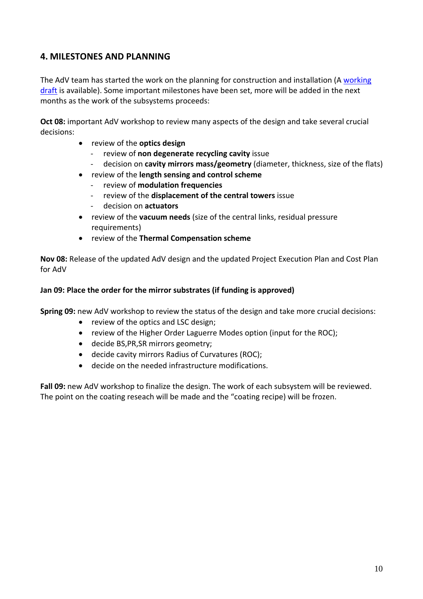### <span id="page-9-0"></span>**4. MILESTONES AND PLANNING**

The AdV team has started the work on the planning for construction and installation (A [working](http://wwwcascina.virgo.infn.it/advirgo/docs/construction_v0.mpp) [draft](http://wwwcascina.virgo.infn.it/advirgo/docs/construction_v0.mpp) is available). Some important milestones have been set, more will be added in the next months as the work of the subsystems proceeds:

**Oct 08:** important AdV workshop to review many aspects of the design and take several crucial decisions:

- review of the **optics design**
	- ‐ review of **non degenerate recycling cavity** issue
	- ‐ decision on **cavity mirrors mass/geometry** (diameter, thickness, size of the flats)
- review of the **length sensing and control scheme**
	- ‐ review of **modulation frequencies**
	- ‐ review of the **displacement of the central towers** issue
	- ‐ decision on **actuators**
- review of the **vacuum needs** (size of the central links, residual pressure requirements)
- review of the **Thermal Compensation scheme**

**Nov 08:** Release of the updated AdV design and the updated Project Execution Plan and Cost Plan for AdV

#### **Jan 09: Place the order for the mirror substrates (if funding is approved)**

**Spring 09:** new AdV workshop to review the status of the design and take more crucial decisions:

- review of the optics and LSC design;
- review of the Higher Order Laguerre Modes option (input for the ROC);
- decide BS,PR,SR mirrors geometry;
- decide cavity mirrors Radius of Curvatures (ROC);
- decide on the needed infrastructure modifications.

**Fall 09:** new AdV workshop to finalize the design. The work of each subsystem will be reviewed. The point on the coating reseach will be made and the "coating recipe) will be frozen.